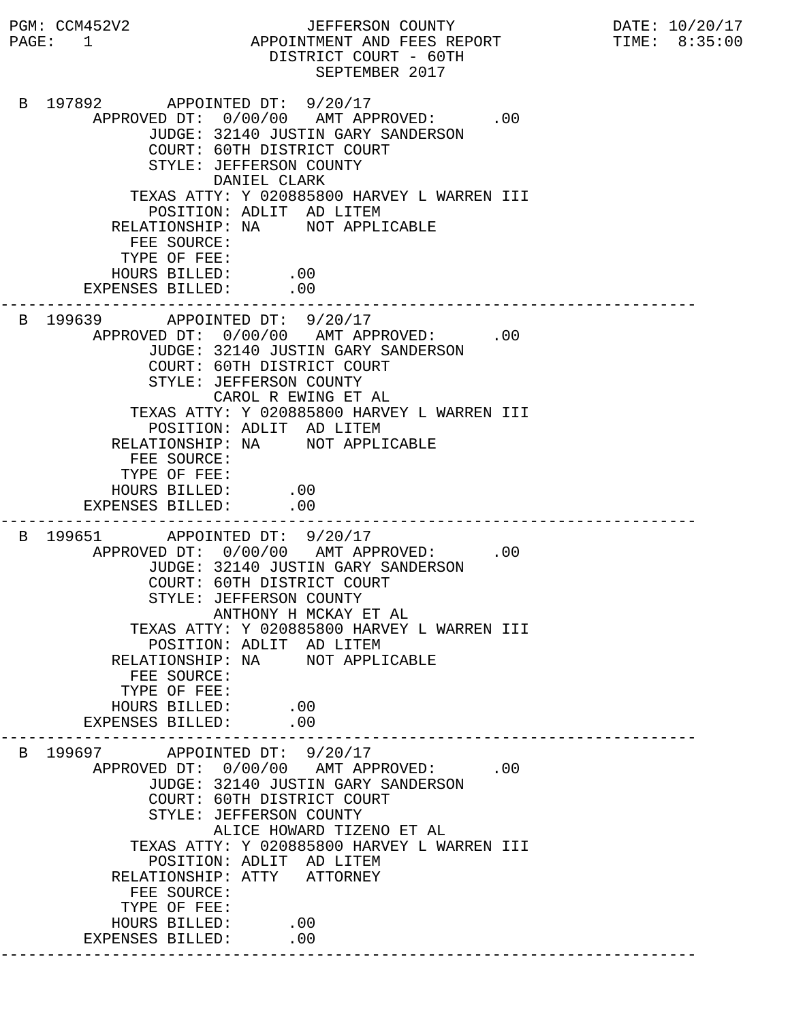PGM: CCM452V2 JEFFERSON COUNTY DATE: 10/20/17 PAGE: 1 APPOINTMENT AND FEES REPORT TIME: 8:35:00 DISTRICT COURT - 60TH SEPTEMBER 2017 B 197892 APPOINTED DT: 9/20/17 APPROVED DT:  $0/00/00$  AMT APPROVED: .00 JUDGE: 32140 JUSTIN GARY SANDERSON COURT: 60TH DISTRICT COURT STYLE: JEFFERSON COUNTY DANIEL CLARK TEXAS ATTY: Y 020885800 HARVEY L WARREN III POSITION: ADLIT AD LITEM RELATIONSHIP: NA NOT APPLICABLE FEE SOURCE: TYPE OF FEE: HOURS BILLED: .00 EXPENSES BILLED: .00 --------------------------------------------------------------------------- B 199639 APPOINTED DT: 9/20/17 APPROVED DT:  $0/00/00$  AMT APPROVED: .00 JUDGE: 32140 JUSTIN GARY SANDERSON COURT: 60TH DISTRICT COURT STYLE: JEFFERSON COUNTY CAROL R EWING ET AL TEXAS ATTY: Y 020885800 HARVEY L WARREN III POSITION: ADLIT AD LITEM RELATIONSHIP: NA NOT APPLICABLE FEE SOURCE: TYPE OF FEE: HOURS BILLED: .00 EXPENSES BILLED: .00 --------------------------------------------------------------------------- B 199651 APPOINTED DT: 9/20/17 APPROVED DT:  $0/00/00$  AMT APPROVED: .00 JUDGE: 32140 JUSTIN GARY SANDERSON COURT: 60TH DISTRICT COURT STYLE: JEFFERSON COUNTY ANTHONY H MCKAY ET AL TEXAS ATTY: Y 020885800 HARVEY L WARREN III POSITION: ADLIT AD LITEM RELATIONSHIP: NA NOT APPLICABLE FEE SOURCE: TYPE OF FEE: HOURS BILLED: .00<br>ENSES BILLED: .00 EXPENSES BILLED: --------------------------------------------------------------------------- B 199697 APPOINTED DT: 9/20/17 APPROVED DT:  $0/00/00$  AMT APPROVED: .00 JUDGE: 32140 JUSTIN GARY SANDERSON COURT: 60TH DISTRICT COURT STYLE: JEFFERSON COUNTY ALICE HOWARD TIZENO ET AL TEXAS ATTY: Y 020885800 HARVEY L WARREN III POSITION: ADLIT AD LITEM RELATIONSHIP: ATTY ATTORNEY FEE SOURCE: TYPE OF FEE: HOURS BILLED: .00 EXPENSES BILLED: .00 ---------------------------------------------------------------------------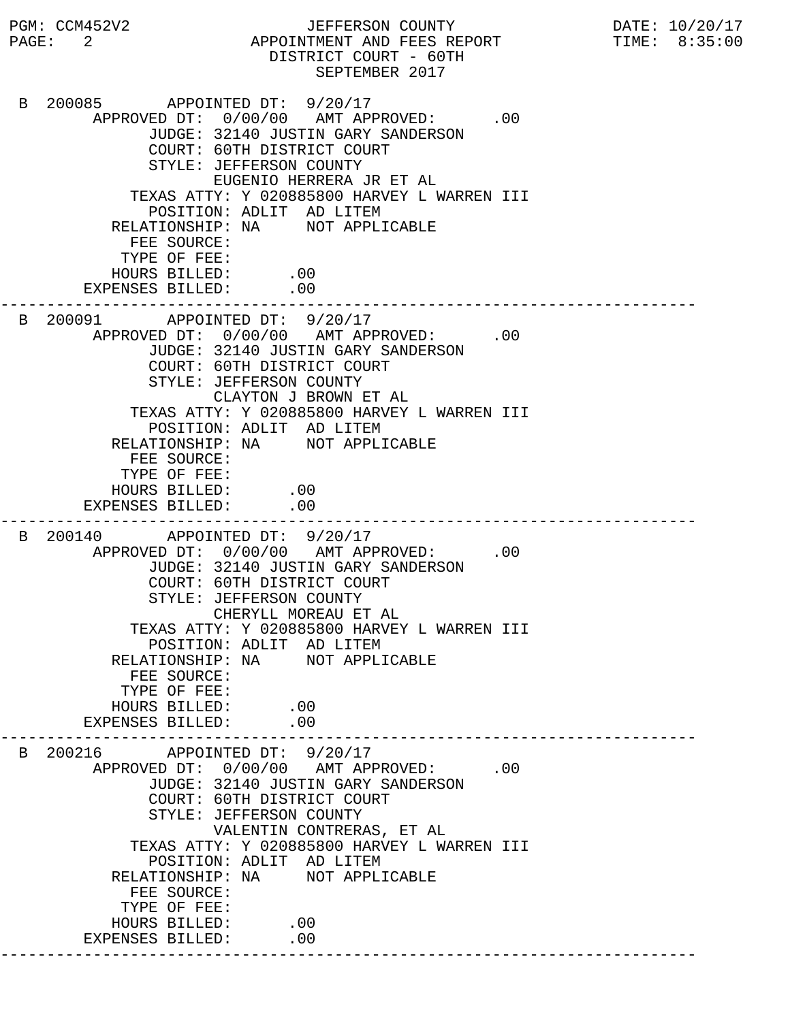PGM: CCM452V2 JEFFERSON COUNTY DATE: 10/20/17 PAGE: 2 APPOINTMENT AND FEES REPORT TIME: 8:35:00 DISTRICT COURT - 60TH SEPTEMBER 2017 B 200085 APPOINTED DT: 9/20/17 APPROVED DT:  $0/00/00$  AMT APPROVED: .00 JUDGE: 32140 JUSTIN GARY SANDERSON COURT: 60TH DISTRICT COURT STYLE: JEFFERSON COUNTY EUGENIO HERRERA JR ET AL TEXAS ATTY: Y 020885800 HARVEY L WARREN III POSITION: ADLIT AD LITEM RELATIONSHIP: NA NOT APPLICABLE FEE SOURCE: TYPE OF FEE: HOURS BILLED: .00 EXPENSES BILLED: .00 --------------------------------------------------------------------------- B 200091 APPOINTED DT: 9/20/17 APPROVED DT:  $0/00/00$  AMT APPROVED: .00 JUDGE: 32140 JUSTIN GARY SANDERSON COURT: 60TH DISTRICT COURT STYLE: JEFFERSON COUNTY CLAYTON J BROWN ET AL TEXAS ATTY: Y 020885800 HARVEY L WARREN III POSITION: ADLIT AD LITEM RELATIONSHIP: NA NOT APPLICABLE FEE SOURCE: TYPE OF FEE: HOURS BILLED: .00 EXPENSES BILLED: .00 --------------------------------------------------------------------------- B 200140 APPOINTED DT: 9/20/17 APPROVED DT:  $0/00/00$  AMT APPROVED: .00 JUDGE: 32140 JUSTIN GARY SANDERSON COURT: 60TH DISTRICT COURT STYLE: JEFFERSON COUNTY CHERYLL MOREAU ET AL TEXAS ATTY: Y 020885800 HARVEY L WARREN III POSITION: ADLIT AD LITEM RELATIONSHIP: NA NOT APPLICABLE FEE SOURCE: TYPE OF FEE: HOURS BILLED: .00<br>ENSES BILLED: .00 EXPENSES BILLED: --------------------------------------------------------------------------- B 200216 APPOINTED DT: 9/20/17 APPROVED DT:  $0/00/00$  AMT APPROVED: .00 JUDGE: 32140 JUSTIN GARY SANDERSON COURT: 60TH DISTRICT COURT STYLE: JEFFERSON COUNTY VALENTIN CONTRERAS, ET AL TEXAS ATTY: Y 020885800 HARVEY L WARREN III POSITION: ADLIT AD LITEM RELATIONSHIP: NA NOT APPLICABLE FEE SOURCE: TYPE OF FEE: HOURS BILLED: .00 EXPENSES BILLED: .00 ---------------------------------------------------------------------------